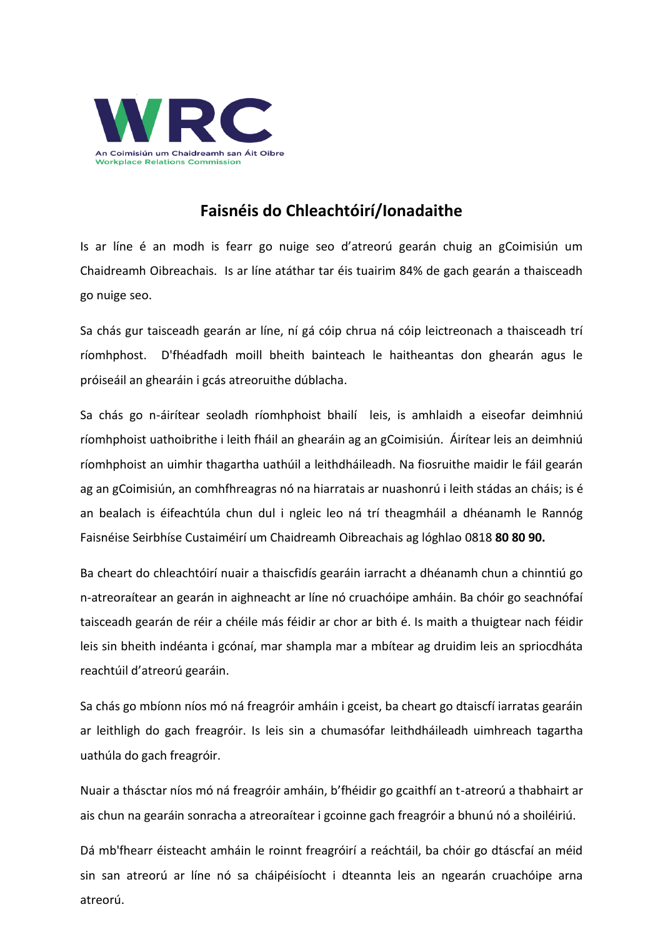

## **Faisnéis do Chleachtóirí/Ionadaithe**

Is ar líne é an modh is fearr go nuige seo d'atreorú gearán chuig an gCoimisiún um Chaidreamh Oibreachais. Is ar líne atáthar tar éis tuairim 84% de gach gearán a thaisceadh go nuige seo.

Sa chás gur taisceadh gearán ar líne, ní gá cóip chrua ná cóip leictreonach a thaisceadh trí ríomhphost. D'fhéadfadh moill bheith bainteach le haitheantas don ghearán agus le próiseáil an ghearáin i gcás atreoruithe dúblacha.

Sa chás go n-áirítear seoladh ríomhphoist bhailí leis, is amhlaidh a eiseofar deimhniú ríomhphoist uathoibrithe i leith fháil an ghearáin ag an gCoimisiún. Áirítear leis an deimhniú ríomhphoist an uimhir thagartha uathúil a leithdháileadh. Na fiosruithe maidir le fáil gearán ag an gCoimisiún, an comhfhreagras nó na hiarratais ar nuashonrú i leith stádas an cháis; is é an bealach is éifeachtúla chun dul i ngleic leo ná trí theagmháil a dhéanamh le Rannóg Faisnéise Seirbhíse Custaiméirí um Chaidreamh Oibreachais ag lóghlao 0818 **80 80 90.**

Ba cheart do chleachtóirí nuair a thaiscfidís gearáin iarracht a dhéanamh chun a chinntiú go n-atreoraítear an gearán in aighneacht ar líne nó cruachóipe amháin. Ba chóir go seachnófaí taisceadh gearán de réir a chéile más féidir ar chor ar bith é. Is maith a thuigtear nach féidir leis sin bheith indéanta i gcónaí, mar shampla mar a mbítear ag druidim leis an spriocdháta reachtúil d'atreorú gearáin.

Sa chás go mbíonn níos mó ná freagróir amháin i gceist, ba cheart go dtaiscfí iarratas gearáin ar leithligh do gach freagróir. Is leis sin a chumasófar leithdháileadh uimhreach tagartha uathúla do gach freagróir.

Nuair a thásctar níos mó ná freagróir amháin, b'fhéidir go gcaithfí an t-atreorú a thabhairt ar ais chun na gearáin sonracha a atreoraítear i gcoinne gach freagróir a bhunú nó a shoiléiriú.

Dá mb'fhearr éisteacht amháin le roinnt freagróirí a reáchtáil, ba chóir go dtáscfaí an méid sin san atreorú ar líne nó sa cháipéisíocht i dteannta leis an ngearán cruachóipe arna atreorú.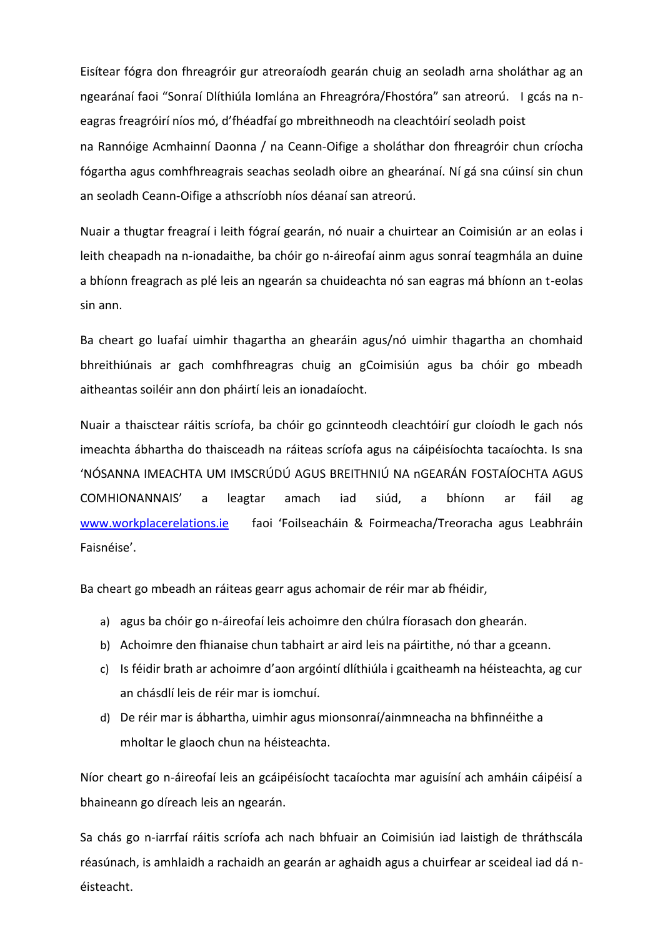Eisítear fógra don fhreagróir gur atreoraíodh gearán chuig an seoladh arna sholáthar ag an ngearánaí faoi "Sonraí Dlíthiúla Iomlána an Fhreagróra/Fhostóra" san atreorú. I gcás na neagras freagróirí níos mó, d'fhéadfaí go mbreithneodh na cleachtóirí seoladh poist na Rannóige Acmhainní Daonna / na Ceann-Oifige a sholáthar don fhreagróir chun críocha fógartha agus comhfhreagrais seachas seoladh oibre an ghearánaí. Ní gá sna cúinsí sin chun an seoladh Ceann-Oifige a athscríobh níos déanaí san atreorú.

Nuair a thugtar freagraí i leith fógraí gearán, nó nuair a chuirtear an Coimisiún ar an eolas i leith cheapadh na n-ionadaithe, ba chóir go n-áireofaí ainm agus sonraí teagmhála an duine a bhíonn freagrach as plé leis an ngearán sa chuideachta nó san eagras má bhíonn an t-eolas sin ann.

Ba cheart go luafaí uimhir thagartha an ghearáin agus/nó uimhir thagartha an chomhaid bhreithiúnais ar gach comhfhreagras chuig an gCoimisiún agus ba chóir go mbeadh aitheantas soiléir ann don pháirtí leis an ionadaíocht.

Nuair a thaisctear ráitis scríofa, ba chóir go gcinnteodh cleachtóirí gur cloíodh le gach nós imeachta ábhartha do thaisceadh na ráiteas scríofa agus na cáipéisíochta tacaíochta. Is sna 'NÓSANNA IMEACHTA UM IMSCRÚDÚ AGUS BREITHNIÚ NA nGEARÁN FOSTAÍOCHTA AGUS COMHIONANNAIS' a leagtar amach iad siúd, a bhíonn ar fáil ag [www.workplacerelations.ie](http://www.workplacerelations.ie/) faoi 'Foilseacháin & Foirmeacha/Treoracha agus Leabhráin Faisnéise'.

Ba cheart go mbeadh an ráiteas gearr agus achomair de réir mar ab fhéidir,

- a) agus ba chóir go n-áireofaí leis achoimre den chúlra fíorasach don ghearán.
- b) Achoimre den fhianaise chun tabhairt ar aird leis na páirtithe, nó thar a gceann.
- c) Is féidir brath ar achoimre d'aon argóintí dlíthiúla i gcaitheamh na héisteachta, ag cur an chásdlí leis de réir mar is iomchuí.
- d) De réir mar is ábhartha, uimhir agus mionsonraí/ainmneacha na bhfinnéithe a mholtar le glaoch chun na héisteachta.

Níor cheart go n-áireofaí leis an gcáipéisíocht tacaíochta mar aguisíní ach amháin cáipéisí a bhaineann go díreach leis an ngearán.

Sa chás go n-iarrfaí ráitis scríofa ach nach bhfuair an Coimisiún iad laistigh de thráthscála réasúnach, is amhlaidh a rachaidh an gearán ar aghaidh agus a chuirfear ar sceideal iad dá néisteacht.